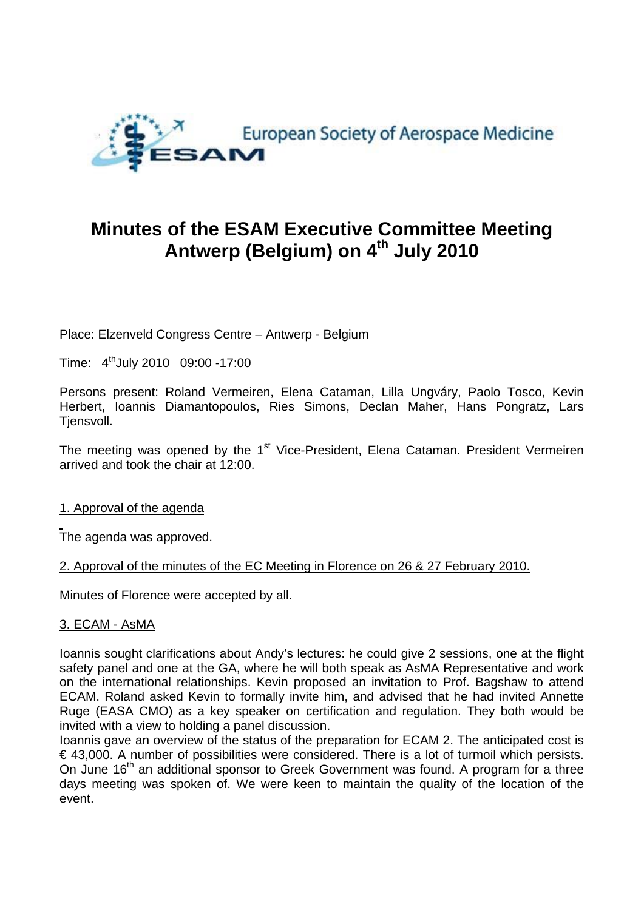

# **Minutes of the ESAM Executive Committee Meeting Antwerp (Belgium) on 4th July 2010**

Place: Elzenveld Congress Centre – Antwerp - Belgium

Time: 4thJuly 2010 09:00 -17:00

Persons present: Roland Vermeiren, Elena Cataman, Lilla Ungváry, Paolo Tosco, Kevin Herbert, Ioannis Diamantopoulos, Ries Simons, Declan Maher, Hans Pongratz, Lars Tiensvoll.

The meeting was opened by the 1<sup>st</sup> Vice-President, Elena Cataman. President Vermeiren arrived and took the chair at 12:00.

## 1. Approval of the agenda

The agenda was approved.

#### 2. Approval of the minutes of the EC Meeting in Florence on 26 & 27 February 2010.

Minutes of Florence were accepted by all.

## 3. ECAM - AsMA

Ioannis sought clarifications about Andy's lectures: he could give 2 sessions, one at the flight safety panel and one at the GA, where he will both speak as AsMA Representative and work on the international relationships. Kevin proposed an invitation to Prof. Bagshaw to attend ECAM. Roland asked Kevin to formally invite him, and advised that he had invited Annette Ruge (EASA CMO) as a key speaker on certification and regulation. They both would be invited with a view to holding a panel discussion.

Ioannis gave an overview of the status of the preparation for ECAM 2. The anticipated cost is  $\epsilon$  43,000. A number of possibilities were considered. There is a lot of turmoil which persists. On June 16<sup>th</sup> an additional sponsor to Greek Government was found. A program for a three days meeting was spoken of. We were keen to maintain the quality of the location of the event.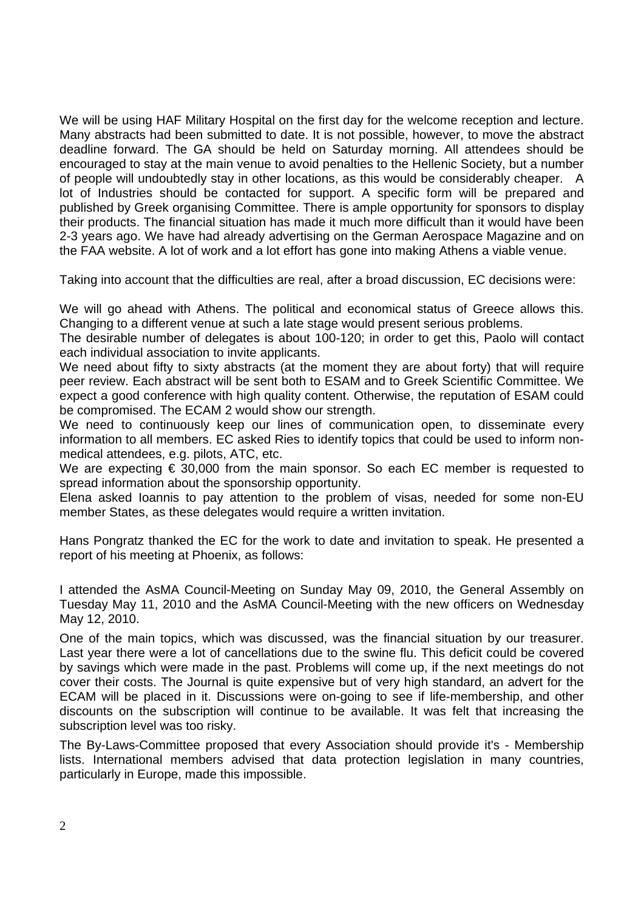We will be using HAF Military Hospital on the first day for the welcome reception and lecture. Many abstracts had been submitted to date. It is not possible, however, to move the abstract deadline forward. The GA should be held on Saturday morning. All attendees should be encouraged to stay at the main venue to avoid penalties to the Hellenic Society, but a number of people will undoubtedly stay in other locations, as this would be considerably cheaper. A lot of Industries should be contacted for support. A specific form will be prepared and published by Greek organising Committee. There is ample opportunity for sponsors to display their products. The financial situation has made it much more difficult than it would have been 2-3 years ago. We have had already advertising on the German Aerospace Magazine and on the FAA website. A lot of work and a lot effort has gone into making Athens a viable venue.

Taking into account that the difficulties are real, after a broad discussion, EC decisions were:

We will go ahead with Athens. The political and economical status of Greece allows this. Changing to a different venue at such a late stage would present serious problems.

The desirable number of delegates is about 100-120; in order to get this, Paolo will contact each individual association to invite applicants.

We need about fifty to sixty abstracts (at the moment they are about forty) that will require peer review. Each abstract will be sent both to ESAM and to Greek Scientific Committee. We expect a good conference with high quality content. Otherwise, the reputation of ESAM could be compromised. The ECAM 2 would show our strength.

We need to continuously keep our lines of communication open, to disseminate every information to all members. EC asked Ries to identify topics that could be used to inform nonmedical attendees, e.g. pilots, ATC, etc.

We are expecting  $\epsilon$  30,000 from the main sponsor. So each EC member is requested to spread information about the sponsorship opportunity.

Elena asked Ioannis to pay attention to the problem of visas, needed for some non-EU member States, as these delegates would require a written invitation.

Hans Pongratz thanked the EC for the work to date and invitation to speak. He presented a report of his meeting at Phoenix, as follows:

I attended the AsMA Council-Meeting on Sunday May 09, 2010, the General Assembly on Tuesday May 11, 2010 and the AsMA Council-Meeting with the new officers on Wednesday May 12, 2010.

One of the main topics, which was discussed, was the financial situation by our treasurer. Last year there were a lot of cancellations due to the swine flu. This deficit could be covered by savings which were made in the past. Problems will come up, if the next meetings do not cover their costs. The Journal is quite expensive but of very high standard, an advert for the ECAM will be placed in it. Discussions were on-going to see if life-membership, and other discounts on the subscription will continue to be available. It was felt that increasing the subscription level was too risky.

The By-Laws-Committee proposed that every Association should provide it's - Membership lists. International members advised that data protection legislation in many countries, particularly in Europe, made this impossible.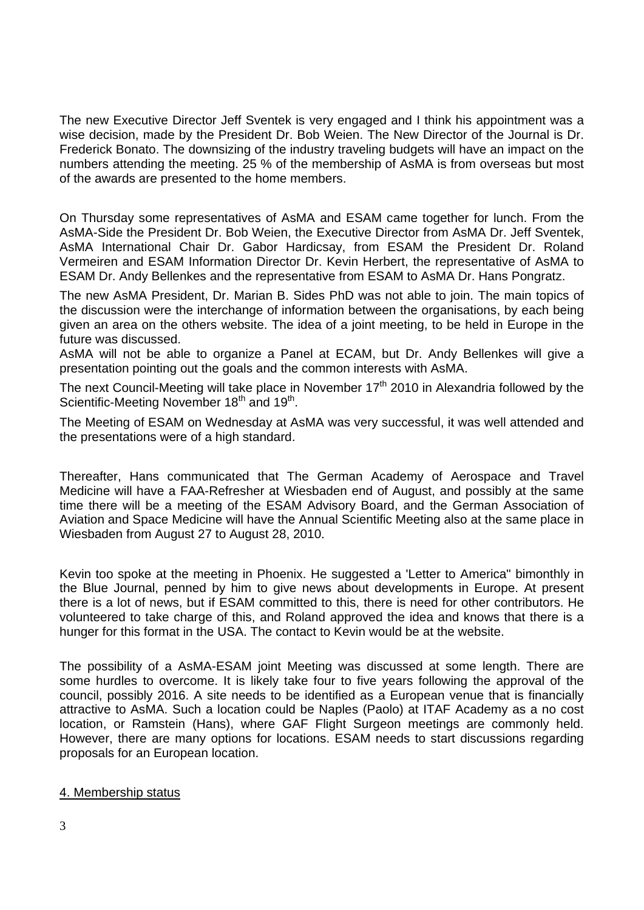The new Executive Director Jeff Sventek is very engaged and I think his appointment was a wise decision, made by the President Dr. Bob Weien. The New Director of the Journal is Dr. Frederick Bonato. The downsizing of the industry traveling budgets will have an impact on the numbers attending the meeting. 25 % of the membership of AsMA is from overseas but most of the awards are presented to the home members.

On Thursday some representatives of AsMA and ESAM came together for lunch. From the AsMA-Side the President Dr. Bob Weien, the Executive Director from AsMA Dr. Jeff Sventek, AsMA International Chair Dr. Gabor Hardicsay, from ESAM the President Dr. Roland Vermeiren and ESAM Information Director Dr. Kevin Herbert, the representative of AsMA to ESAM Dr. Andy Bellenkes and the representative from ESAM to AsMA Dr. Hans Pongratz.

The new AsMA President, Dr. Marian B. Sides PhD was not able to join. The main topics of the discussion were the interchange of information between the organisations, by each being given an area on the others website. The idea of a joint meeting, to be held in Europe in the future was discussed.

AsMA will not be able to organize a Panel at ECAM, but Dr. Andy Bellenkes will give a presentation pointing out the goals and the common interests with AsMA.

The next Council-Meeting will take place in November  $17<sup>th</sup>$  2010 in Alexandria followed by the Scientific-Meeting November 18<sup>th</sup> and 19<sup>th</sup>.

The Meeting of ESAM on Wednesday at AsMA was very successful, it was well attended and the presentations were of a high standard.

Thereafter, Hans communicated that The German Academy of Aerospace and Travel Medicine will have a FAA-Refresher at Wiesbaden end of August, and possibly at the same time there will be a meeting of the ESAM Advisory Board, and the German Association of Aviation and Space Medicine will have the Annual Scientific Meeting also at the same place in Wiesbaden from August 27 to August 28, 2010.

Kevin too spoke at the meeting in Phoenix. He suggested a 'Letter to America" bimonthly in the Blue Journal, penned by him to give news about developments in Europe. At present there is a lot of news, but if ESAM committed to this, there is need for other contributors. He volunteered to take charge of this, and Roland approved the idea and knows that there is a hunger for this format in the USA. The contact to Kevin would be at the website.

The possibility of a AsMA-ESAM joint Meeting was discussed at some length. There are some hurdles to overcome. It is likely take four to five years following the approval of the council, possibly 2016. A site needs to be identified as a European venue that is financially attractive to AsMA. Such a location could be Naples (Paolo) at ITAF Academy as a no cost location, or Ramstein (Hans), where GAF Flight Surgeon meetings are commonly held. However, there are many options for locations. ESAM needs to start discussions regarding proposals for an European location.

## 4. Membership status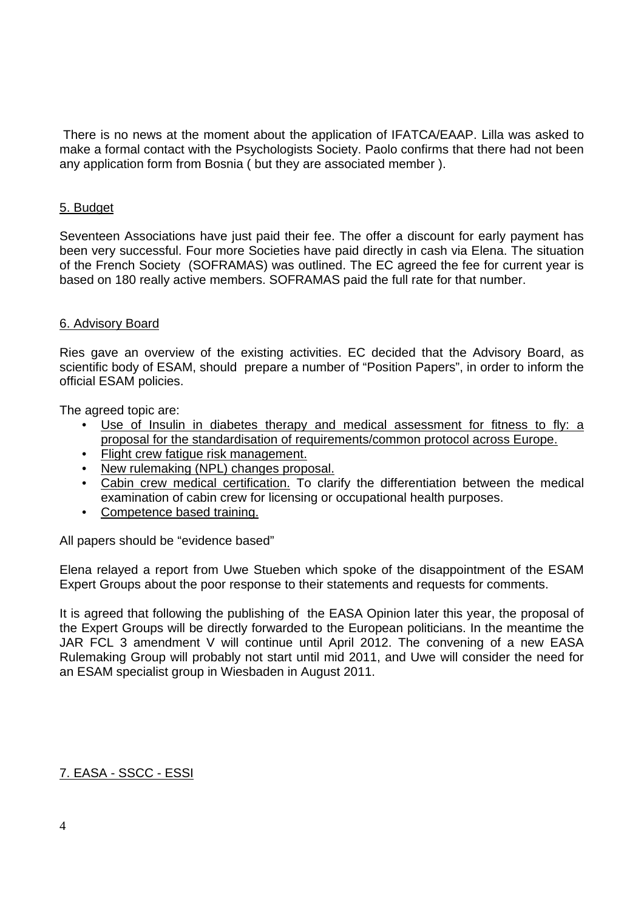There is no news at the moment about the application of IFATCA/EAAP. Lilla was asked to make a formal contact with the Psychologists Society. Paolo confirms that there had not been any application form from Bosnia ( but they are associated member ).

#### 5. Budget

Seventeen Associations have just paid their fee. The offer a discount for early payment has been very successful. Four more Societies have paid directly in cash via Elena. The situation of the French Society (SOFRAMAS) was outlined. The EC agreed the fee for current year is based on 180 really active members. SOFRAMAS paid the full rate for that number.

#### 6. Advisory Board

Ries gave an overview of the existing activities. EC decided that the Advisory Board, as scientific body of ESAM, should prepare a number of "Position Papers", in order to inform the official ESAM policies.

The agreed topic are:

- Use of Insulin in diabetes therapy and medical assessment for fitness to fly: a proposal for the standardisation of requirements/common protocol across Europe.
- Flight crew fatigue risk management.
- New rulemaking (NPL) changes proposal.
- Cabin crew medical certification. To clarify the differentiation between the medical examination of cabin crew for licensing or occupational health purposes.
- Competence based training.

All papers should be "evidence based"

Elena relayed a report from Uwe Stueben which spoke of the disappointment of the ESAM Expert Groups about the poor response to their statements and requests for comments.

It is agreed that following the publishing of the EASA Opinion later this year, the proposal of the Expert Groups will be directly forwarded to the European politicians. In the meantime the JAR FCL 3 amendment V will continue until April 2012. The convening of a new EASA Rulemaking Group will probably not start until mid 2011, and Uwe will consider the need for an ESAM specialist group in Wiesbaden in August 2011.

## 7. EASA - SSCC - ESSI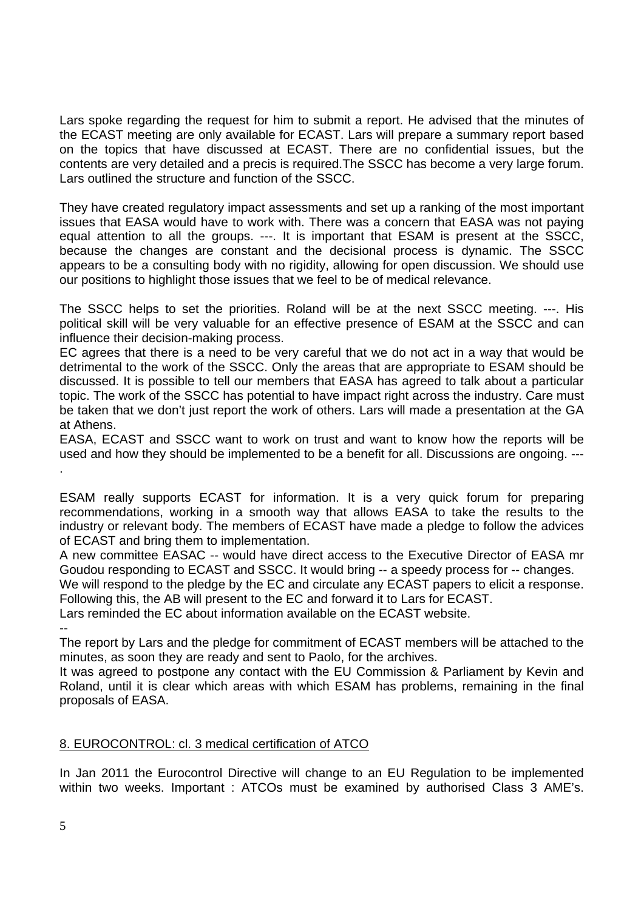Lars spoke regarding the request for him to submit a report. He advised that the minutes of the ECAST meeting are only available for ECAST. Lars will prepare a summary report based on the topics that have discussed at ECAST. There are no confidential issues, but the contents are very detailed and a precis is required.The SSCC has become a very large forum. Lars outlined the structure and function of the SSCC.

They have created regulatory impact assessments and set up a ranking of the most important issues that EASA would have to work with. There was a concern that EASA was not paying equal attention to all the groups. ---. It is important that ESAM is present at the SSCC, because the changes are constant and the decisional process is dynamic. The SSCC appears to be a consulting body with no rigidity, allowing for open discussion. We should use our positions to highlight those issues that we feel to be of medical relevance.

The SSCC helps to set the priorities. Roland will be at the next SSCC meeting. ---. His political skill will be very valuable for an effective presence of ESAM at the SSCC and can influence their decision-making process.

EC agrees that there is a need to be very careful that we do not act in a way that would be detrimental to the work of the SSCC. Only the areas that are appropriate to ESAM should be discussed. It is possible to tell our members that EASA has agreed to talk about a particular topic. The work of the SSCC has potential to have impact right across the industry. Care must be taken that we don't just report the work of others. Lars will made a presentation at the GA at Athens.

EASA, ECAST and SSCC want to work on trust and want to know how the reports will be used and how they should be implemented to be a benefit for all. Discussions are ongoing. --- .

ESAM really supports ECAST for information. It is a very quick forum for preparing recommendations, working in a smooth way that allows EASA to take the results to the industry or relevant body. The members of ECAST have made a pledge to follow the advices of ECAST and bring them to implementation.

A new committee EASAC -- would have direct access to the Executive Director of EASA mr Goudou responding to ECAST and SSCC. It would bring -- a speedy process for -- changes.

We will respond to the pledge by the EC and circulate any ECAST papers to elicit a response. Following this, the AB will present to the EC and forward it to Lars for ECAST.

Lars reminded the EC about information available on the ECAST website.

--

The report by Lars and the pledge for commitment of ECAST members will be attached to the minutes, as soon they are ready and sent to Paolo, for the archives.

It was agreed to postpone any contact with the EU Commission & Parliament by Kevin and Roland, until it is clear which areas with which ESAM has problems, remaining in the final proposals of EASA.

## 8. EUROCONTROL: cl. 3 medical certification of ATCO

In Jan 2011 the Eurocontrol Directive will change to an EU Regulation to be implemented within two weeks. Important : ATCOs must be examined by authorised Class 3 AME's.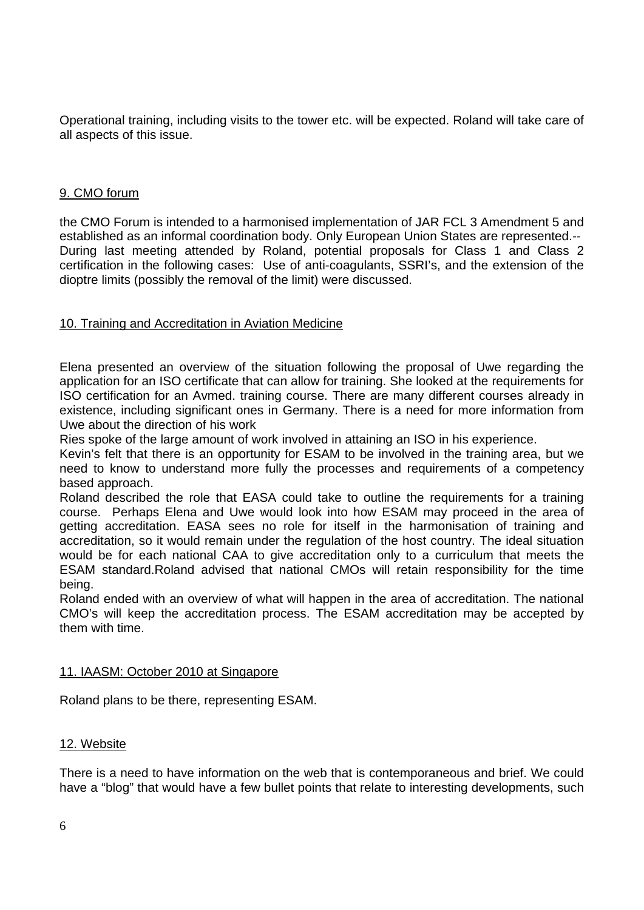Operational training, including visits to the tower etc. will be expected. Roland will take care of all aspects of this issue.

## 9. CMO forum

the CMO Forum is intended to a harmonised implementation of JAR FCL 3 Amendment 5 and established as an informal coordination body. Only European Union States are represented.-- During last meeting attended by Roland, potential proposals for Class 1 and Class 2 certification in the following cases: Use of anti-coagulants, SSRI's, and the extension of the dioptre limits (possibly the removal of the limit) were discussed.

#### 10. Training and Accreditation in Aviation Medicine

Elena presented an overview of the situation following the proposal of Uwe regarding the application for an ISO certificate that can allow for training. She looked at the requirements for ISO certification for an Avmed. training course. There are many different courses already in existence, including significant ones in Germany. There is a need for more information from Uwe about the direction of his work

Ries spoke of the large amount of work involved in attaining an ISO in his experience.

Kevin's felt that there is an opportunity for ESAM to be involved in the training area, but we need to know to understand more fully the processes and requirements of a competency based approach.

Roland described the role that EASA could take to outline the requirements for a training course. Perhaps Elena and Uwe would look into how ESAM may proceed in the area of getting accreditation. EASA sees no role for itself in the harmonisation of training and accreditation, so it would remain under the regulation of the host country. The ideal situation would be for each national CAA to give accreditation only to a curriculum that meets the ESAM standard.Roland advised that national CMOs will retain responsibility for the time being.

Roland ended with an overview of what will happen in the area of accreditation. The national CMO's will keep the accreditation process. The ESAM accreditation may be accepted by them with time.

#### 11. IAASM: October 2010 at Singapore

Roland plans to be there, representing ESAM.

#### 12. Website

There is a need to have information on the web that is contemporaneous and brief. We could have a "blog" that would have a few bullet points that relate to interesting developments, such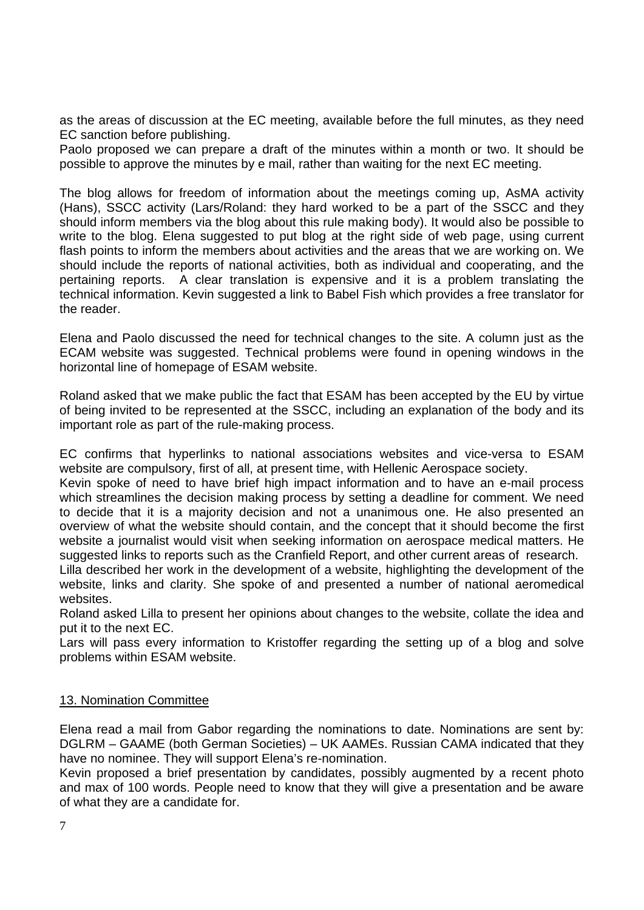as the areas of discussion at the EC meeting, available before the full minutes, as they need EC sanction before publishing.

Paolo proposed we can prepare a draft of the minutes within a month or two. It should be possible to approve the minutes by e mail, rather than waiting for the next EC meeting.

The blog allows for freedom of information about the meetings coming up, AsMA activity (Hans), SSCC activity (Lars/Roland: they hard worked to be a part of the SSCC and they should inform members via the blog about this rule making body). It would also be possible to write to the blog. Elena suggested to put blog at the right side of web page, using current flash points to inform the members about activities and the areas that we are working on. We should include the reports of national activities, both as individual and cooperating, and the pertaining reports. A clear translation is expensive and it is a problem translating the technical information. Kevin suggested a link to Babel Fish which provides a free translator for the reader.

Elena and Paolo discussed the need for technical changes to the site. A column just as the ECAM website was suggested. Technical problems were found in opening windows in the horizontal line of homepage of ESAM website.

Roland asked that we make public the fact that ESAM has been accepted by the EU by virtue of being invited to be represented at the SSCC, including an explanation of the body and its important role as part of the rule-making process.

EC confirms that hyperlinks to national associations websites and vice-versa to ESAM website are compulsory, first of all, at present time, with Hellenic Aerospace society.

Kevin spoke of need to have brief high impact information and to have an e-mail process which streamlines the decision making process by setting a deadline for comment. We need to decide that it is a majority decision and not a unanimous one. He also presented an overview of what the website should contain, and the concept that it should become the first website a journalist would visit when seeking information on aerospace medical matters. He suggested links to reports such as the Cranfield Report, and other current areas of research.

Lilla described her work in the development of a website, highlighting the development of the website, links and clarity. She spoke of and presented a number of national aeromedical websites.

Roland asked Lilla to present her opinions about changes to the website, collate the idea and put it to the next EC.

Lars will pass every information to Kristoffer regarding the setting up of a blog and solve problems within ESAM website.

## 13. Nomination Committee

Elena read a mail from Gabor regarding the nominations to date. Nominations are sent by: DGLRM – GAAME (both German Societies) – UK AAMEs. Russian CAMA indicated that they have no nominee. They will support Elena's re-nomination.

Kevin proposed a brief presentation by candidates, possibly augmented by a recent photo and max of 100 words. People need to know that they will give a presentation and be aware of what they are a candidate for.